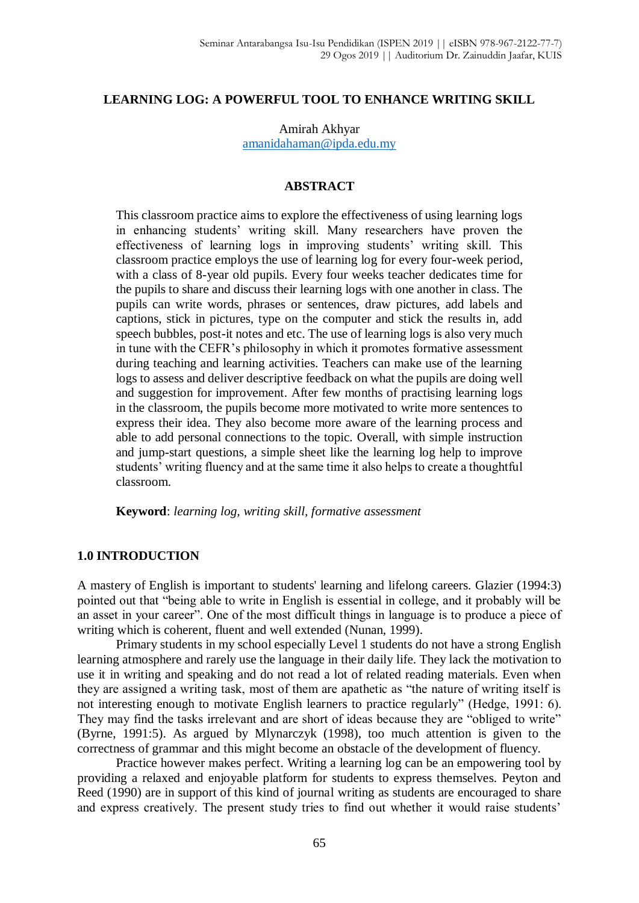## **LEARNING LOG: A POWERFUL TOOL TO ENHANCE WRITING SKILL**

Amirah Akhyar [amanidahaman@ipda.edu.my](mailto:amanidahaman@ipda.edu.my)

#### **ABSTRACT**

This classroom practice aims to explore the effectiveness of using learning logs in enhancing students' writing skill. Many researchers have proven the effectiveness of learning logs in improving students' writing skill. This classroom practice employs the use of learning log for every four-week period, with a class of 8-year old pupils. Every four weeks teacher dedicates time for the pupils to share and discuss their learning logs with one another in class. The pupils can write words, phrases or sentences, draw pictures, add labels and captions, stick in pictures, type on the computer and stick the results in, add speech bubbles, post-it notes and etc. The use of learning logs is also very much in tune with the CEFR's philosophy in which it promotes formative assessment during teaching and learning activities. Teachers can make use of the learning logs to assess and deliver descriptive feedback on what the pupils are doing well and suggestion for improvement. After few months of practising learning logs in the classroom, the pupils become more motivated to write more sentences to express their idea. They also become more aware of the learning process and able to add personal connections to the topic. Overall, with simple instruction and jump-start questions, a simple sheet like the learning log help to improve students' writing fluency and at the same time it also helps to create a thoughtful classroom.

**Keyword**: *learning log, writing skill, formative assessment*

### **1.0 INTRODUCTION**

A mastery of English is important to students' learning and lifelong careers. Glazier (1994:3) pointed out that "being able to write in English is essential in college, and it probably will be an asset in your career". One of the most difficult things in language is to produce a piece of writing which is coherent, fluent and well extended (Nunan, 1999).

Primary students in my school especially Level 1 students do not have a strong English learning atmosphere and rarely use the language in their daily life. They lack the motivation to use it in writing and speaking and do not read a lot of related reading materials. Even when they are assigned a writing task, most of them are apathetic as "the nature of writing itself is not interesting enough to motivate English learners to practice regularly" (Hedge, 1991: 6). They may find the tasks irrelevant and are short of ideas because they are "obliged to write" (Byrne, 1991:5). As argued by Mlynarczyk (1998), too much attention is given to the correctness of grammar and this might become an obstacle of the development of fluency.

Practice however makes perfect. Writing a learning log can be an empowering tool by providing a relaxed and enjoyable platform for students to express themselves. Peyton and Reed (1990) are in support of this kind of journal writing as students are encouraged to share and express creatively. The present study tries to find out whether it would raise students'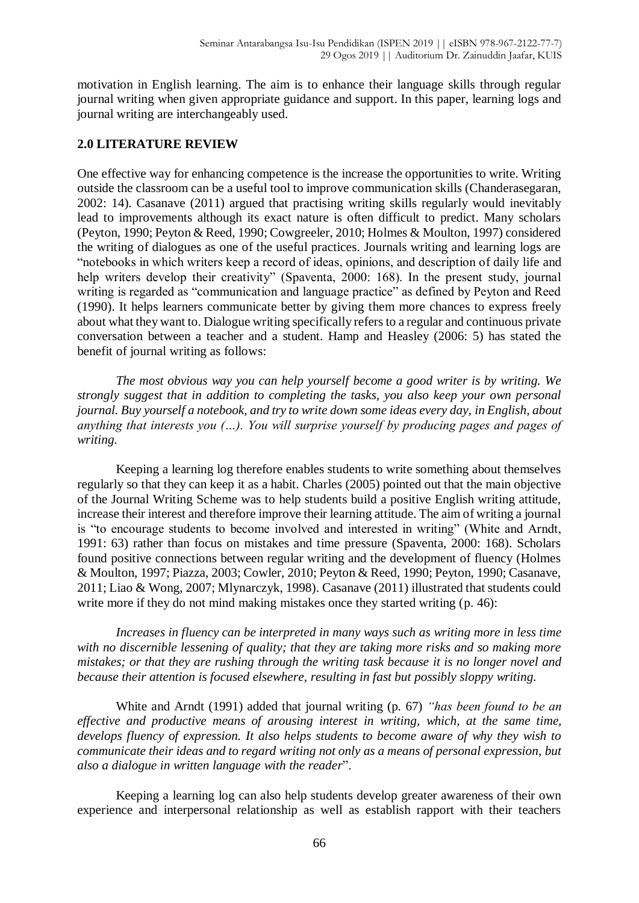motivation in English learning. The aim is to enhance their language skills through regular journal writing when given appropriate guidance and support. In this paper, learning logs and journal writing are interchangeably used.

# **2.0 LITERATURE REVIEW**

One effective way for enhancing competence is the increase the opportunities to write. Writing outside the classroom can be a useful tool to improve communication skills (Chanderasegaran, 2002: 14). Casanave (2011) argued that practising writing skills regularly would inevitably lead to improvements although its exact nature is often difficult to predict. Many scholars (Peyton, 1990; Peyton & Reed, 1990; Cowgreeler, 2010; Holmes & Moulton, 1997) considered the writing of dialogues as one of the useful practices. Journals writing and learning logs are "notebooks in which writers keep a record of ideas, opinions, and description of daily life and help writers develop their creativity" (Spaventa, 2000: 168). In the present study, journal writing is regarded as "communication and language practice" as defined by Peyton and Reed (1990). It helps learners communicate better by giving them more chances to express freely about what they want to. Dialogue writing specifically refers to a regular and continuous private conversation between a teacher and a student. Hamp and Heasley (2006: 5) has stated the benefit of journal writing as follows:

*The most obvious way you can help yourself become a good writer is by writing. We strongly suggest that in addition to completing the tasks, you also keep your own personal journal. Buy yourself a notebook, and try to write down some ideas every day, in English, about anything that interests you (…). You will surprise yourself by producing pages and pages of writing.*

Keeping a learning log therefore enables students to write something about themselves regularly so that they can keep it as a habit. Charles (2005) pointed out that the main objective of the Journal Writing Scheme was to help students build a positive English writing attitude, increase their interest and therefore improve their learning attitude. The aim of writing a journal is "to encourage students to become involved and interested in writing" (White and Arndt, 1991: 63) rather than focus on mistakes and time pressure (Spaventa, 2000: 168). Scholars found positive connections between regular writing and the development of fluency (Holmes & Moulton, 1997; Piazza, 2003; Cowler, 2010; Peyton & Reed, 1990; Peyton, 1990; Casanave, 2011; Liao & Wong, 2007; Mlynarczyk, 1998). Casanave (2011) illustrated that students could write more if they do not mind making mistakes once they started writing (p. 46):

*Increases in fluency can be interpreted in many ways such as writing more in less time with no discernible lessening of quality; that they are taking more risks and so making more mistakes; or that they are rushing through the writing task because it is no longer novel and because their attention is focused elsewhere, resulting in fast but possibly sloppy writing.*

White and Arndt (1991) added that journal writing (p. 67) *"has been found to be an effective and productive means of arousing interest in writing, which, at the same time, develops fluency of expression. It also helps students to become aware of why they wish to communicate their ideas and to regard writing not only as a means of personal expression, but also a dialogue in written language with the reader*".

Keeping a learning log can also help students develop greater awareness of their own experience and interpersonal relationship as well as establish rapport with their teachers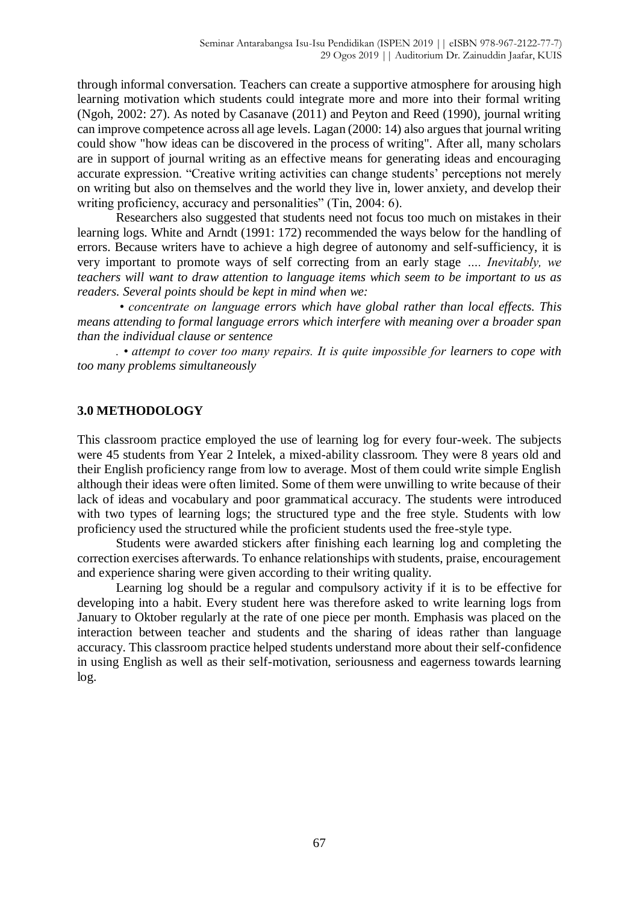through informal conversation. Teachers can create a supportive atmosphere for arousing high learning motivation which students could integrate more and more into their formal writing (Ngoh, 2002: 27). As noted by Casanave (2011) and Peyton and Reed (1990), journal writing can improve competence across all age levels. Lagan (2000: 14) also argues that journal writing could show "how ideas can be discovered in the process of writing". After all, many scholars are in support of journal writing as an effective means for generating ideas and encouraging accurate expression. "Creative writing activities can change students' perceptions not merely on writing but also on themselves and the world they live in, lower anxiety, and develop their writing proficiency, accuracy and personalities" (Tin, 2004: 6).

Researchers also suggested that students need not focus too much on mistakes in their learning logs. White and Arndt (1991: 172) recommended the ways below for the handling of errors. Because writers have to achieve a high degree of autonomy and self-sufficiency, it is very important to promote ways of self correcting from an early stage *…. Inevitably, we teachers will want to draw attention to language items which seem to be important to us as readers. Several points should be kept in mind when we:*

*• concentrate on language errors which have global rather than local effects. This means attending to formal language errors which interfere with meaning over a broader span than the individual clause or sentence*

*. • attempt to cover too many repairs. It is quite impossible for learners to cope with too many problems simultaneously*

## **3.0 METHODOLOGY**

This classroom practice employed the use of learning log for every four-week. The subjects were 45 students from Year 2 Intelek, a mixed-ability classroom. They were 8 years old and their English proficiency range from low to average. Most of them could write simple English although their ideas were often limited. Some of them were unwilling to write because of their lack of ideas and vocabulary and poor grammatical accuracy. The students were introduced with two types of learning logs; the structured type and the free style. Students with low proficiency used the structured while the proficient students used the free-style type.

Students were awarded stickers after finishing each learning log and completing the correction exercises afterwards. To enhance relationships with students, praise, encouragement and experience sharing were given according to their writing quality.

Learning log should be a regular and compulsory activity if it is to be effective for developing into a habit. Every student here was therefore asked to write learning logs from January to Oktober regularly at the rate of one piece per month. Emphasis was placed on the interaction between teacher and students and the sharing of ideas rather than language accuracy. This classroom practice helped students understand more about their self-confidence in using English as well as their self-motivation, seriousness and eagerness towards learning log.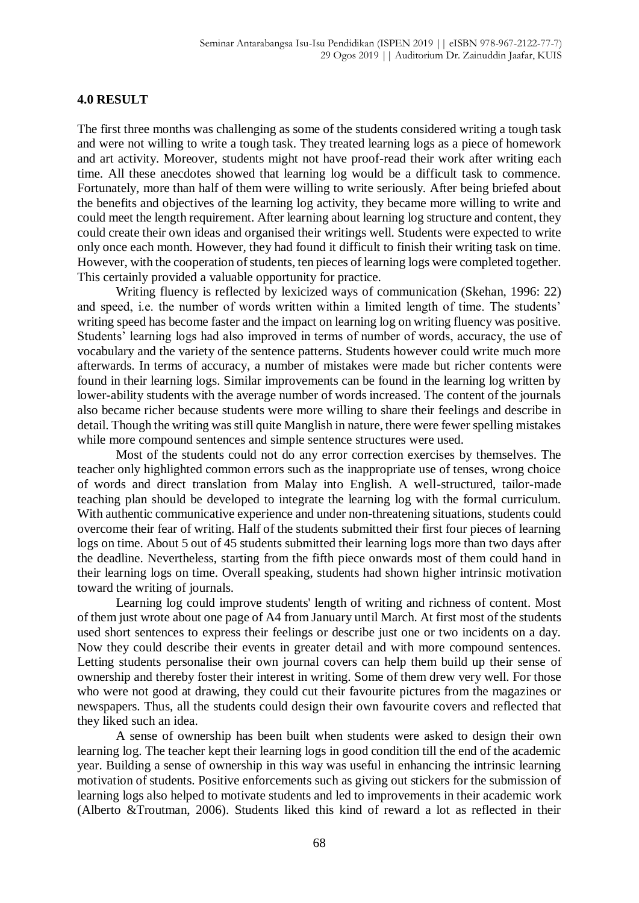### **4.0 RESULT**

The first three months was challenging as some of the students considered writing a tough task and were not willing to write a tough task. They treated learning logs as a piece of homework and art activity. Moreover, students might not have proof-read their work after writing each time. All these anecdotes showed that learning log would be a difficult task to commence. Fortunately, more than half of them were willing to write seriously. After being briefed about the benefits and objectives of the learning log activity, they became more willing to write and could meet the length requirement. After learning about learning log structure and content, they could create their own ideas and organised their writings well. Students were expected to write only once each month. However, they had found it difficult to finish their writing task on time. However, with the cooperation of students, ten pieces of learning logs were completed together. This certainly provided a valuable opportunity for practice.

Writing fluency is reflected by lexicized ways of communication (Skehan, 1996: 22) and speed, i.e. the number of words written within a limited length of time. The students' writing speed has become faster and the impact on learning log on writing fluency was positive. Students' learning logs had also improved in terms of number of words, accuracy, the use of vocabulary and the variety of the sentence patterns. Students however could write much more afterwards. In terms of accuracy, a number of mistakes were made but richer contents were found in their learning logs. Similar improvements can be found in the learning log written by lower-ability students with the average number of words increased. The content of the journals also became richer because students were more willing to share their feelings and describe in detail. Though the writing was still quite Manglish in nature, there were fewer spelling mistakes while more compound sentences and simple sentence structures were used.

Most of the students could not do any error correction exercises by themselves. The teacher only highlighted common errors such as the inappropriate use of tenses, wrong choice of words and direct translation from Malay into English. A well-structured, tailor-made teaching plan should be developed to integrate the learning log with the formal curriculum. With authentic communicative experience and under non-threatening situations, students could overcome their fear of writing. Half of the students submitted their first four pieces of learning logs on time. About 5 out of 45 students submitted their learning logs more than two days after the deadline. Nevertheless, starting from the fifth piece onwards most of them could hand in their learning logs on time. Overall speaking, students had shown higher intrinsic motivation toward the writing of journals.

Learning log could improve students' length of writing and richness of content. Most of them just wrote about one page of A4 from January until March. At first most of the students used short sentences to express their feelings or describe just one or two incidents on a day. Now they could describe their events in greater detail and with more compound sentences. Letting students personalise their own journal covers can help them build up their sense of ownership and thereby foster their interest in writing. Some of them drew very well. For those who were not good at drawing, they could cut their favourite pictures from the magazines or newspapers. Thus, all the students could design their own favourite covers and reflected that they liked such an idea.

A sense of ownership has been built when students were asked to design their own learning log. The teacher kept their learning logs in good condition till the end of the academic year. Building a sense of ownership in this way was useful in enhancing the intrinsic learning motivation of students. Positive enforcements such as giving out stickers for the submission of learning logs also helped to motivate students and led to improvements in their academic work (Alberto &Troutman, 2006). Students liked this kind of reward a lot as reflected in their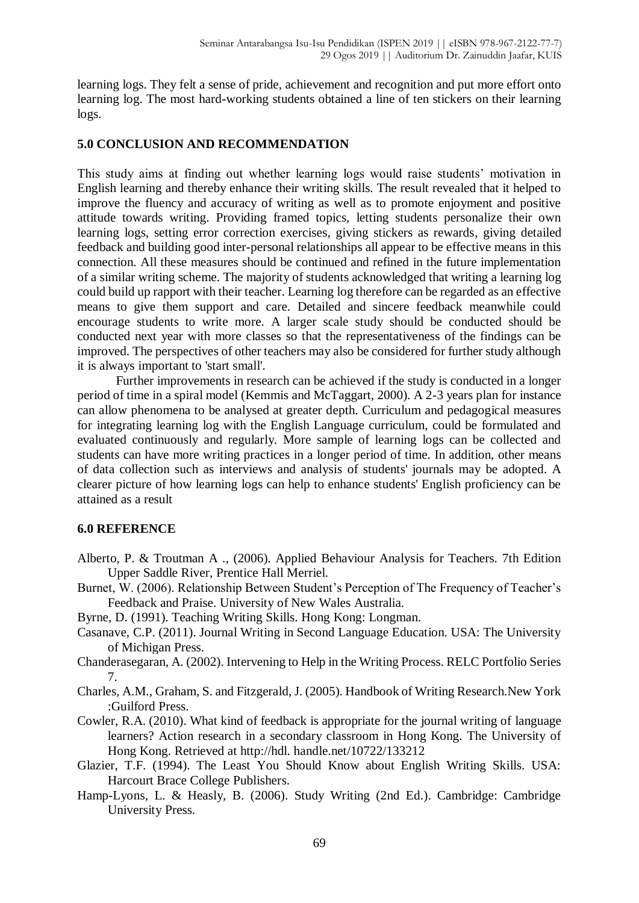learning logs. They felt a sense of pride, achievement and recognition and put more effort onto learning log. The most hard-working students obtained a line of ten stickers on their learning logs.

# **5.0 CONCLUSION AND RECOMMENDATION**

This study aims at finding out whether learning logs would raise students' motivation in English learning and thereby enhance their writing skills. The result revealed that it helped to improve the fluency and accuracy of writing as well as to promote enjoyment and positive attitude towards writing. Providing framed topics, letting students personalize their own learning logs, setting error correction exercises, giving stickers as rewards, giving detailed feedback and building good inter-personal relationships all appear to be effective means in this connection. All these measures should be continued and refined in the future implementation of a similar writing scheme. The majority of students acknowledged that writing a learning log could build up rapport with their teacher. Learning log therefore can be regarded as an effective means to give them support and care. Detailed and sincere feedback meanwhile could encourage students to write more. A larger scale study should be conducted should be conducted next year with more classes so that the representativeness of the findings can be improved. The perspectives of other teachers may also be considered for further study although it is always important to 'start small'.

Further improvements in research can be achieved if the study is conducted in a longer period of time in a spiral model (Kemmis and McTaggart, 2000). A 2-3 years plan for instance can allow phenomena to be analysed at greater depth. Curriculum and pedagogical measures for integrating learning log with the English Language curriculum, could be formulated and evaluated continuously and regularly. More sample of learning logs can be collected and students can have more writing practices in a longer period of time. In addition, other means of data collection such as interviews and analysis of students' journals may be adopted. A clearer picture of how learning logs can help to enhance students' English proficiency can be attained as a result

## **6.0 REFERENCE**

- Alberto, P. & Troutman A ., (2006). Applied Behaviour Analysis for Teachers. 7th Edition Upper Saddle River, Prentice Hall Merriel.
- Burnet, W. (2006). Relationship Between Student's Perception of The Frequency of Teacher's Feedback and Praise. University of New Wales Australia.
- Byrne, D. (1991). Teaching Writing Skills. Hong Kong: Longman.
- Casanave, C.P. (2011). Journal Writing in Second Language Education. USA: The University of Michigan Press.
- Chanderasegaran, A. (2002). Intervening to Help in the Writing Process. RELC Portfolio Series 7.
- Charles, A.M., Graham, S. and Fitzgerald, J. (2005). Handbook of Writing Research.New York :Guilford Press.
- Cowler, R.A. (2010). What kind of feedback is appropriate for the journal writing of language learners? Action research in a secondary classroom in Hong Kong. The University of Hong Kong. Retrieved at http://hdl. handle.net/10722/133212
- Glazier, T.F. (1994). The Least You Should Know about English Writing Skills. USA: Harcourt Brace College Publishers.
- Hamp-Lyons, L. & Heasly, B. (2006). Study Writing (2nd Ed.). Cambridge: Cambridge University Press.